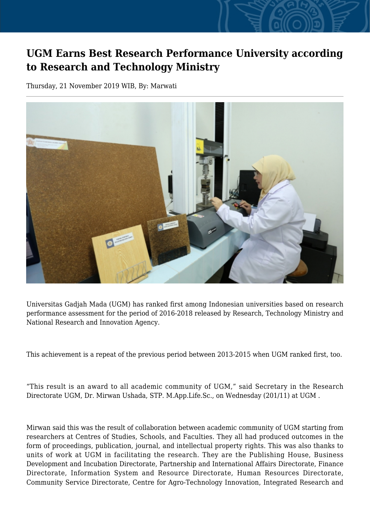## **UGM Earns Best Research Performance University according to Research and Technology Ministry**

Thursday, 21 November 2019 WIB, By: Marwati



Universitas Gadjah Mada (UGM) has ranked first among Indonesian universities based on research performance assessment for the period of 2016-2018 released by Research, Technology Ministry and National Research and Innovation Agency.

This achievement is a repeat of the previous period between 2013-2015 when UGM ranked first, too.

"This result is an award to all academic community of UGM," said Secretary in the Research Directorate UGM, Dr. Mirwan Ushada, STP. M.App.Life.Sc., on Wednesday (201/11) at UGM .

Mirwan said this was the result of collaboration between academic community of UGM starting from researchers at Centres of Studies, Schools, and Faculties. They all had produced outcomes in the form of proceedings, publication, journal, and intellectual property rights. This was also thanks to units of work at UGM in facilitating the research. They are the Publishing House, Business Development and Incubation Directorate, Partnership and International Affairs Directorate, Finance Directorate, Information System and Resource Directorate, Human Resources Directorate, Community Service Directorate, Centre for Agro-Technology Innovation, Integrated Research and